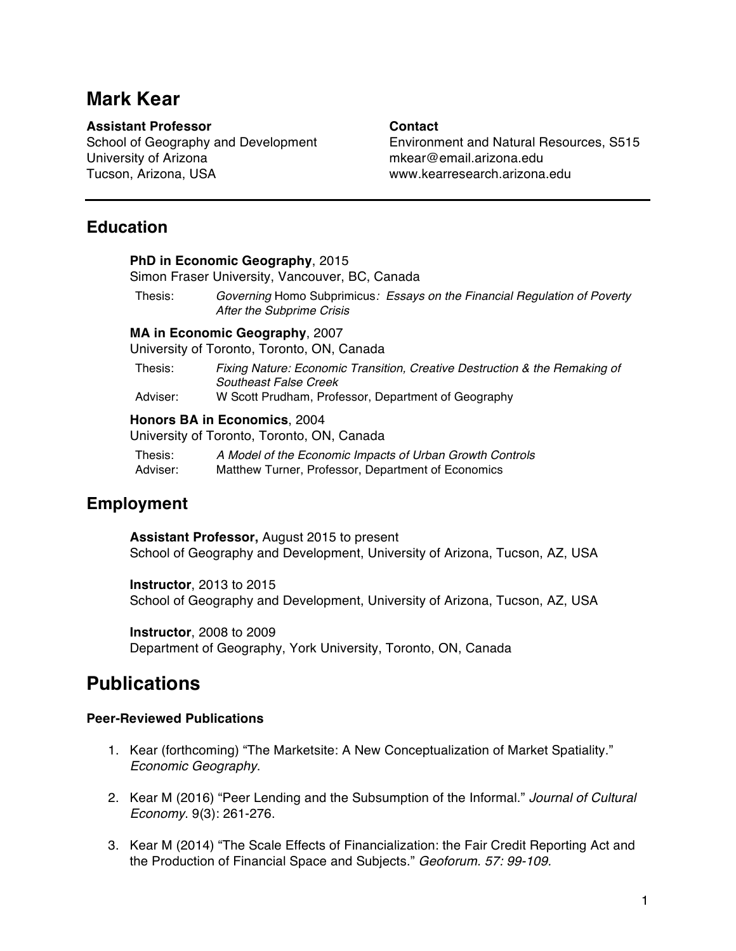# **Mark Kear**

### **Assistant Professor Contact**

University of Arizona mkear@email.arizona.edu Tucson, Arizona, USA www.kearresearch.arizona.edu

School of Geography and Development Environment and Natural Resources, S515

## **Education**

**PhD in Economic Geography**, 2015 Simon Fraser University, Vancouver, BC, Canada

Thesis: *Governing* Homo Subprimicus*: Essays on the Financial Regulation of Poverty After the Subprime Crisis*

#### **MA in Economic Geography**, 2007

University of Toronto, Toronto, ON, Canada

Thesis: *Fixing Nature: Economic Transition, Creative Destruction & the Remaking of Southeast False Creek*

Adviser: W Scott Prudham, Professor, Department of Geography

#### **Honors BA in Economics**, 2004

University of Toronto, Toronto, ON, Canada

Thesis: *A Model of the Economic Impacts of Urban Growth Controls* Adviser: Matthew Turner, Professor, Department of Economics

## **Employment**

**Assistant Professor,** August 2015 to present School of Geography and Development, University of Arizona, Tucson, AZ, USA

**Instructor**, 2013 to 2015 School of Geography and Development, University of Arizona, Tucson, AZ, USA

**Instructor**, 2008 to 2009 Department of Geography, York University, Toronto, ON, Canada

# **Publications**

#### **Peer-Reviewed Publications**

- 1. Kear (forthcoming) "The Marketsite: A New Conceptualization of Market Spatiality." *Economic Geography*.
- 2. Kear M (2016) "Peer Lending and the Subsumption of the Informal." *Journal of Cultural Economy*. 9(3): 261-276.
- 3. Kear M (2014) "The Scale Effects of Financialization: the Fair Credit Reporting Act and the Production of Financial Space and Subjects." *Geoforum. 57: 99-109.*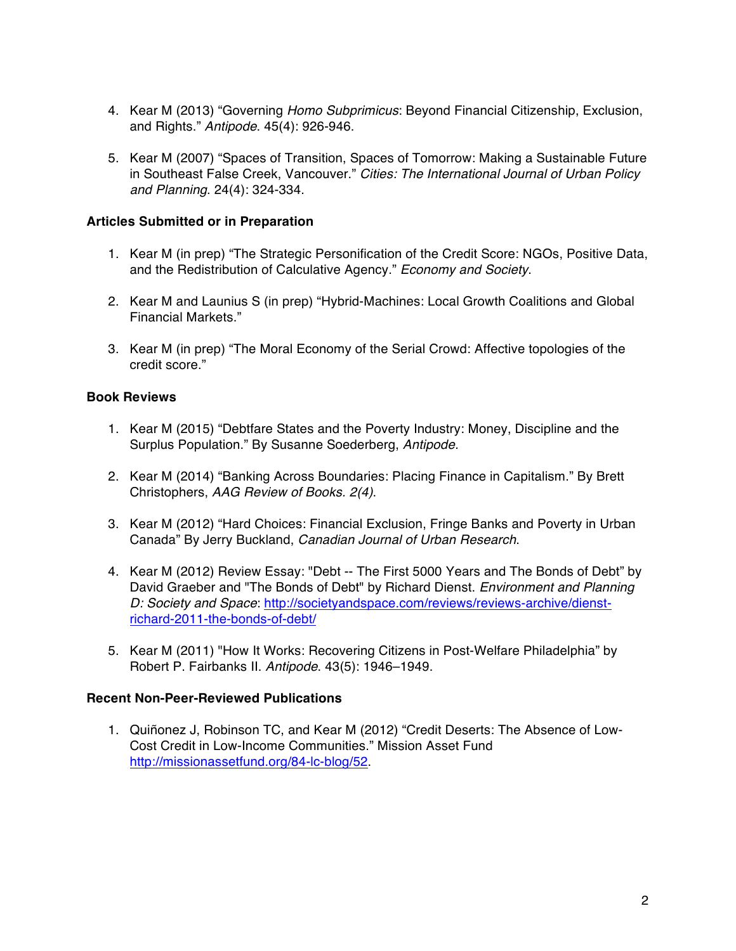- 4. Kear M (2013) "Governing *Homo Subprimicus*: Beyond Financial Citizenship, Exclusion, and Rights." *Antipode*. 45(4): 926-946.
- 5. Kear M (2007) "Spaces of Transition, Spaces of Tomorrow: Making a Sustainable Future in Southeast False Creek, Vancouver." *Cities: The International Journal of Urban Policy and Planning*. 24(4): 324-334.

#### **Articles Submitted or in Preparation**

- 1. Kear M (in prep) "The Strategic Personification of the Credit Score: NGOs, Positive Data, and the Redistribution of Calculative Agency." *Economy and Society*.
- 2. Kear M and Launius S (in prep) "Hybrid-Machines: Local Growth Coalitions and Global Financial Markets."
- 3. Kear M (in prep) "The Moral Economy of the Serial Crowd: Affective topologies of the credit score."

#### **Book Reviews**

- 1. Kear M (2015) "Debtfare States and the Poverty Industry: Money, Discipline and the Surplus Population." By Susanne Soederberg, *Antipode.*
- 2. Kear M (2014) "Banking Across Boundaries: Placing Finance in Capitalism." By Brett Christophers, *AAG Review of Books. 2(4)*.
- 3. Kear M (2012) "Hard Choices: Financial Exclusion, Fringe Banks and Poverty in Urban Canada" By Jerry Buckland, *Canadian Journal of Urban Research*.
- 4. Kear M (2012) Review Essay: "Debt -- The First 5000 Years and The Bonds of Debt" by David Graeber and "The Bonds of Debt" by Richard Dienst. *Environment and Planning D: Society and Space*: http://societyandspace.com/reviews/reviews-archive/dienstrichard-2011-the-bonds-of-debt/
- 5. Kear M (2011) "How It Works: Recovering Citizens in Post-Welfare Philadelphia" by Robert P. Fairbanks II. *Antipode*. 43(5): 1946–1949.

#### **Recent Non-Peer-Reviewed Publications**

1. Quiñonez J, Robinson TC, and Kear M (2012) "Credit Deserts: The Absence of Low-Cost Credit in Low-Income Communities." Mission Asset Fund http://missionassetfund.org/84-lc-blog/52.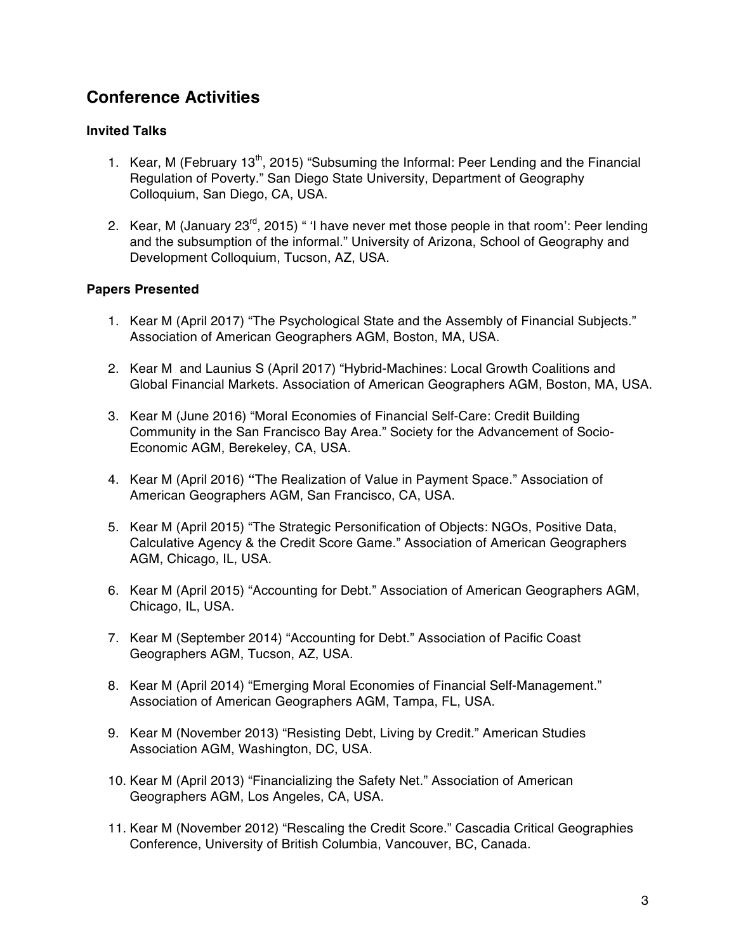## **Conference Activities**

#### **Invited Talks**

- 1. Kear, M (February  $13<sup>th</sup>$ , 2015) "Subsuming the Informal: Peer Lending and the Financial Regulation of Poverty." San Diego State University, Department of Geography Colloquium, San Diego, CA, USA.
- 2. Kear, M (January 23<sup>rd</sup>, 2015) " 'I have never met those people in that room': Peer lending and the subsumption of the informal." University of Arizona, School of Geography and Development Colloquium, Tucson, AZ, USA.

#### **Papers Presented**

- 1. Kear M (April 2017) "The Psychological State and the Assembly of Financial Subjects." Association of American Geographers AGM, Boston, MA, USA.
- 2. Kear M and Launius S (April 2017) "Hybrid-Machines: Local Growth Coalitions and Global Financial Markets. Association of American Geographers AGM, Boston, MA, USA.
- 3. Kear M (June 2016) "Moral Economies of Financial Self-Care: Credit Building Community in the San Francisco Bay Area." Society for the Advancement of Socio-Economic AGM, Berekeley, CA, USA.
- 4. Kear M (April 2016) **"**The Realization of Value in Payment Space." Association of American Geographers AGM, San Francisco, CA, USA.
- 5. Kear M (April 2015) "The Strategic Personification of Objects: NGOs, Positive Data, Calculative Agency & the Credit Score Game." Association of American Geographers AGM, Chicago, IL, USA.
- 6. Kear M (April 2015) "Accounting for Debt." Association of American Geographers AGM, Chicago, IL, USA.
- 7. Kear M (September 2014) "Accounting for Debt." Association of Pacific Coast Geographers AGM, Tucson, AZ, USA.
- 8. Kear M (April 2014) "Emerging Moral Economies of Financial Self-Management." Association of American Geographers AGM, Tampa, FL, USA.
- 9. Kear M (November 2013) "Resisting Debt, Living by Credit." American Studies Association AGM, Washington, DC, USA.
- 10. Kear M (April 2013) "Financializing the Safety Net." Association of American Geographers AGM, Los Angeles, CA, USA.
- 11. Kear M (November 2012) "Rescaling the Credit Score." Cascadia Critical Geographies Conference, University of British Columbia, Vancouver, BC, Canada.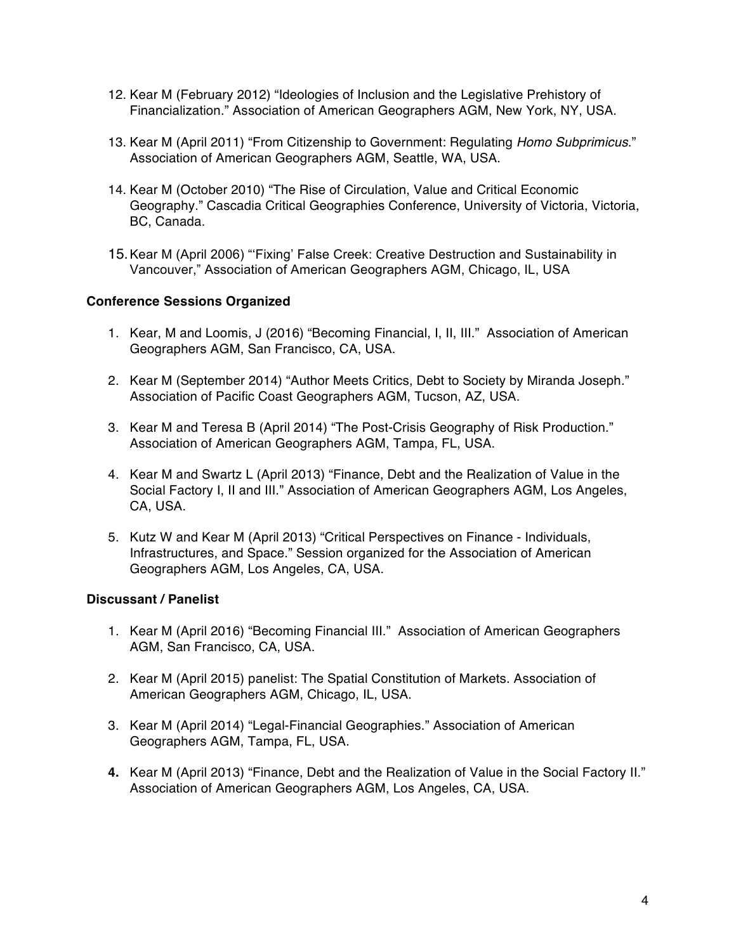- 12. Kear M (February 2012) "Ideologies of Inclusion and the Legislative Prehistory of Financialization." Association of American Geographers AGM, New York, NY, USA.
- 13. Kear M (April 2011) "From Citizenship to Government: Regulating *Homo Subprimicus*." Association of American Geographers AGM, Seattle, WA, USA.
- 14. Kear M (October 2010) "The Rise of Circulation, Value and Critical Economic Geography." Cascadia Critical Geographies Conference, University of Victoria, Victoria, BC, Canada.
- 15.Kear M (April 2006) "'Fixing' False Creek: Creative Destruction and Sustainability in Vancouver," Association of American Geographers AGM, Chicago, IL, USA

#### **Conference Sessions Organized**

- 1. Kear, M and Loomis, J (2016) "Becoming Financial, I, II, III." Association of American Geographers AGM, San Francisco, CA, USA.
- 2. Kear M (September 2014) "Author Meets Critics, Debt to Society by Miranda Joseph." Association of Pacific Coast Geographers AGM, Tucson, AZ, USA.
- 3. Kear M and Teresa B (April 2014) "The Post-Crisis Geography of Risk Production." Association of American Geographers AGM, Tampa, FL, USA.
- 4. Kear M and Swartz L (April 2013) "Finance, Debt and the Realization of Value in the Social Factory I, II and III." Association of American Geographers AGM, Los Angeles, CA, USA.
- 5. Kutz W and Kear M (April 2013) "Critical Perspectives on Finance Individuals, Infrastructures, and Space." Session organized for the Association of American Geographers AGM, Los Angeles, CA, USA.

#### **Discussant / Panelist**

- 1. Kear M (April 2016) "Becoming Financial III." Association of American Geographers AGM, San Francisco, CA, USA.
- 2. Kear M (April 2015) panelist: The Spatial Constitution of Markets. Association of American Geographers AGM, Chicago, IL, USA.
- 3. Kear M (April 2014) "Legal-Financial Geographies." Association of American Geographers AGM, Tampa, FL, USA.
- **4.** Kear M (April 2013) "Finance, Debt and the Realization of Value in the Social Factory II." Association of American Geographers AGM, Los Angeles, CA, USA.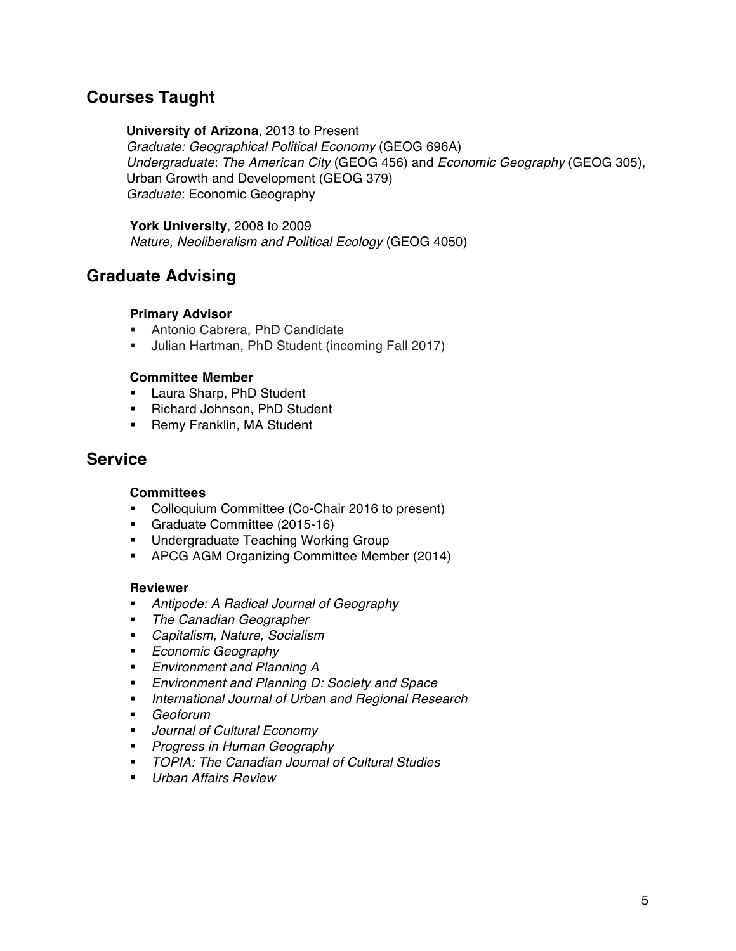## **Courses Taught**

#### **University of Arizona**, 2013 to Present

*Graduate: Geographical Political Economy* (GEOG 696A) *Undergraduate*: *The American City* (GEOG 456) and *Economic Geography* (GEOG 305), Urban Growth and Development (GEOG 379) *Graduate*: Economic Geography

**York University**, 2008 to 2009 *Nature, Neoliberalism and Political Ecology* (GEOG 4050)

## **Graduate Advising**

#### **Primary Advisor**

- § Antonio Cabrera, PhD Candidate
- § Julian Hartman, PhD Student (incoming Fall 2017)

#### **Committee Member**

- **Eaura Sharp, PhD Student**
- § Richard Johnson, PhD Student
- Remy Franklin, MA Student

## **Service**

#### **Committees**

- § Colloquium Committee (Co-Chair 2016 to present)
- § Graduate Committee (2015-16)
- **Undergraduate Teaching Working Group**
- APCG AGM Organizing Committee Member (2014)

#### **Reviewer**

- § *Antipode: A Radical Journal of Geography*
- § *The Canadian Geographer*
- § *Capitalism, Nature, Socialism*
- § *Economic Geography*
- § *Environment and Planning A*
- § *Environment and Planning D: Society and Space*
- § *International Journal of Urban and Regional Research*
- § *Geoforum*
- § *Journal of Cultural Economy*
- § *Progress in Human Geography*
- § *TOPIA: The Canadian Journal of Cultural Studies*
- *Urban Affairs Review*